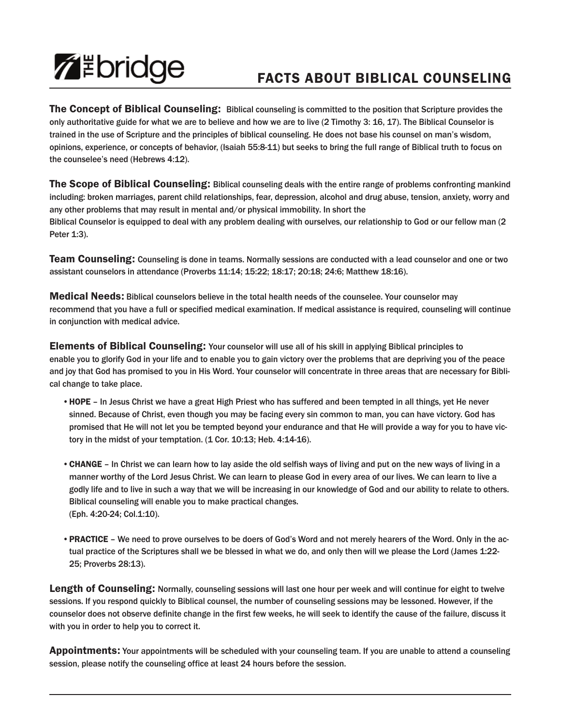## **ZEDridge**

## **FACTS ABOUT BIBLICAL COUNSELING**

**The Concept of Biblical Counseling:** Biblical counseling is committed to the position that Scripture provides the only authoritative guide for what we are to believe and how we are to live (2 Timothy 3: 16, 17). The Biblical Counselor is trained in the use of Scripture and the principles of biblical counseling. He does not base his counsel on man's wisdom, opinions, experience, or concepts of behavior, (Isaiah 55:8-11) but seeks to bring the full range of Biblical truth to focus on the counselee's need (Hebrews 4:12).

**The Scope of Biblical Counseling:** Biblical counseling deals with the entire range of problems confronting mankind including: broken marriages, parent child relationships, fear, depression, alcohol and drug abuse, tension, anxiety, worry and any other problems that may result in mental and/or physical immobility. In short the Biblical Counselor is equipped to deal with any problem dealing with ourselves, our relationship to God or our fellow man (2 Peter 1:3).

**Team Counseling:** Counseling is done in teams. Normally sessions are conducted with a lead counselor and one or two assistant counselors in attendance (Proverbs 11:14; 15:22; 18:17; 20:18; 24:6; Matthew 18:16).

**Medical Needs:** Biblical counselors believe in the total health needs of the counselee. Your counselor may recommend that you have a full or specified medical examination. If medical assistance is required, counseling will continue in conjunction with medical advice.

**Elements of Biblical Counseling:** Your counselor will use all of his skill in applying Biblical principles to enable you to glorify God in your life and to enable you to gain victory over the problems that are depriving you of the peace and joy that God has promised to you in His Word. Your counselor will concentrate in three areas that are necessary for Biblical change to take place.

- •**HOPE** In Jesus Christ we have a great High Priest who has suffered and been tempted in all things, yet He never sinned. Because of Christ, even though you may be facing every sin common to man, you can have victory. God has promised that He will not let you be tempted beyond your endurance and that He will provide a way for you to have victory in the midst of your temptation. (1 Cor. 10:13; Heb. 4:14-16).
- •**CHANGE** In Christ we can learn how to lay aside the old selfish ways of living and put on the new ways of living in a manner worthy of the Lord Jesus Christ. We can learn to please God in every area of our lives. We can learn to live a godly life and to live in such a way that we will be increasing in our knowledge of God and our ability to relate to others. Biblical counseling will enable you to make practical changes. (Eph. 4:20-24; Col.1:10).
- •**PRACTICE** We need to prove ourselves to be doers of God's Word and not merely hearers of the Word. Only in the actual practice of the Scriptures shall we be blessed in what we do, and only then will we please the Lord (James 1:22- 25; Proverbs 28:13).

**Length of Counseling:** Normally, counseling sessions will last one hour per week and will continue for eight to twelve sessions. If you respond quickly to Biblical counsel, the number of counseling sessions may be lessoned. However, if the counselor does not observe definite change in the first few weeks, he will seek to identify the cause of the failure, discuss it with you in order to help you to correct it.

**Appointments:** Your appointments will be scheduled with your counseling team. If you are unable to attend a counseling session, please notify the counseling office at least 24 hours before the session.